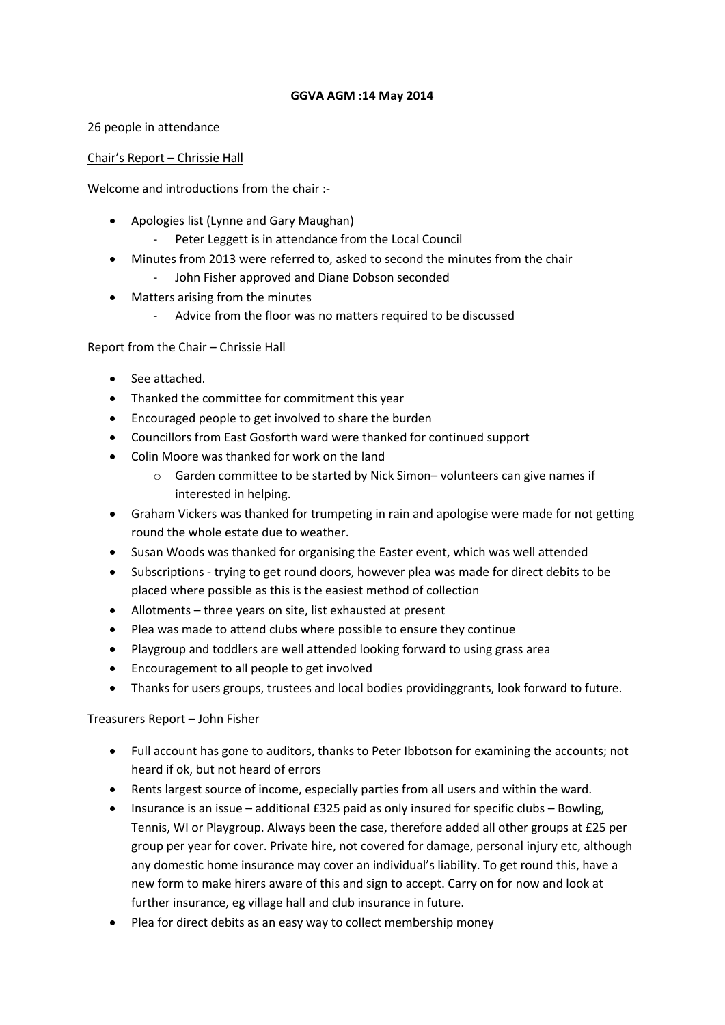### **GGVA AGM :14 May 2014**

26 people in attendance

### Chair's Report – Chrissie Hall

Welcome and introductions from the chair :-

- Apologies list (Lynne and Gary Maughan)
	- Peter Leggett is in attendance from the Local Council
- Minutes from 2013 were referred to, asked to second the minutes from the chair - John Fisher approved and Diane Dobson seconded
- Matters arising from the minutes
	- Advice from the floor was no matters required to be discussed

# Report from the Chair – Chrissie Hall

- See attached.
- Thanked the committee for commitment this year
- Encouraged people to get involved to share the burden
- Councillors from East Gosforth ward were thanked for continued support
- Colin Moore was thanked for work on the land
	- o Garden committee to be started by Nick Simon– volunteers can give names if interested in helping.
- Graham Vickers was thanked for trumpeting in rain and apologise were made for not getting round the whole estate due to weather.
- Susan Woods was thanked for organising the Easter event, which was well attended
- Subscriptions trying to get round doors, however plea was made for direct debits to be placed where possible as this is the easiest method of collection
- Allotments three years on site, list exhausted at present
- Plea was made to attend clubs where possible to ensure they continue
- Playgroup and toddlers are well attended looking forward to using grass area
- Encouragement to all people to get involved
- Thanks for users groups, trustees and local bodies providinggrants, look forward to future.

# Treasurers Report – John Fisher

- Full account has gone to auditors, thanks to Peter Ibbotson for examining the accounts; not heard if ok, but not heard of errors
- Rents largest source of income, especially parties from all users and within the ward.
- Insurance is an issue additional £325 paid as only insured for specific clubs Bowling, Tennis, WI or Playgroup. Always been the case, therefore added all other groups at £25 per group per year for cover. Private hire, not covered for damage, personal injury etc, although any domestic home insurance may cover an individual's liability. To get round this, have a new form to make hirers aware of this and sign to accept. Carry on for now and look at further insurance, eg village hall and club insurance in future.
- Plea for direct debits as an easy way to collect membership money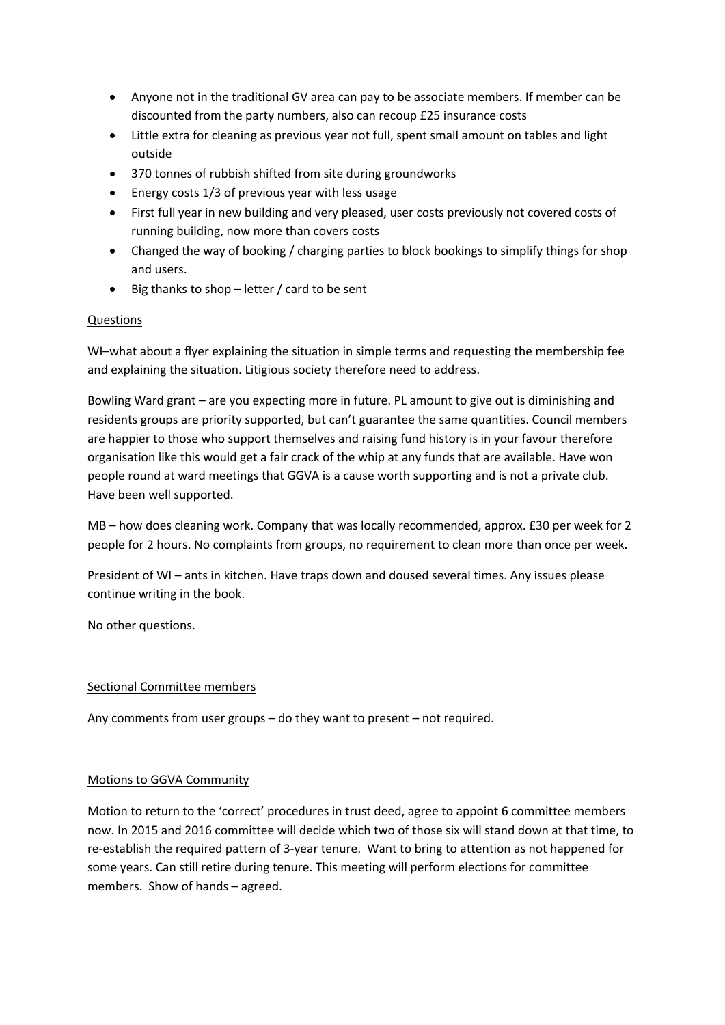- Anyone not in the traditional GV area can pay to be associate members. If member can be discounted from the party numbers, also can recoup £25 insurance costs
- Little extra for cleaning as previous year not full, spent small amount on tables and light outside
- 370 tonnes of rubbish shifted from site during groundworks
- Energy costs 1/3 of previous year with less usage
- First full year in new building and very pleased, user costs previously not covered costs of running building, now more than covers costs
- Changed the way of booking / charging parties to block bookings to simplify things for shop and users.
- Big thanks to shop letter / card to be sent

### Questions

WI–what about a flyer explaining the situation in simple terms and requesting the membership fee and explaining the situation. Litigious society therefore need to address.

Bowling Ward grant – are you expecting more in future. PL amount to give out is diminishing and residents groups are priority supported, but can't guarantee the same quantities. Council members are happier to those who support themselves and raising fund history is in your favour therefore organisation like this would get a fair crack of the whip at any funds that are available. Have won people round at ward meetings that GGVA is a cause worth supporting and is not a private club. Have been well supported.

MB – how does cleaning work. Company that was locally recommended, approx. £30 per week for 2 people for 2 hours. No complaints from groups, no requirement to clean more than once per week.

President of WI – ants in kitchen. Have traps down and doused several times. Any issues please continue writing in the book.

No other questions.

#### Sectional Committee members

Any comments from user groups – do they want to present – not required.

# Motions to GGVA Community

Motion to return to the 'correct' procedures in trust deed, agree to appoint 6 committee members now. In 2015 and 2016 committee will decide which two of those six will stand down at that time, to re-establish the required pattern of 3-year tenure. Want to bring to attention as not happened for some years. Can still retire during tenure. This meeting will perform elections for committee members. Show of hands – agreed.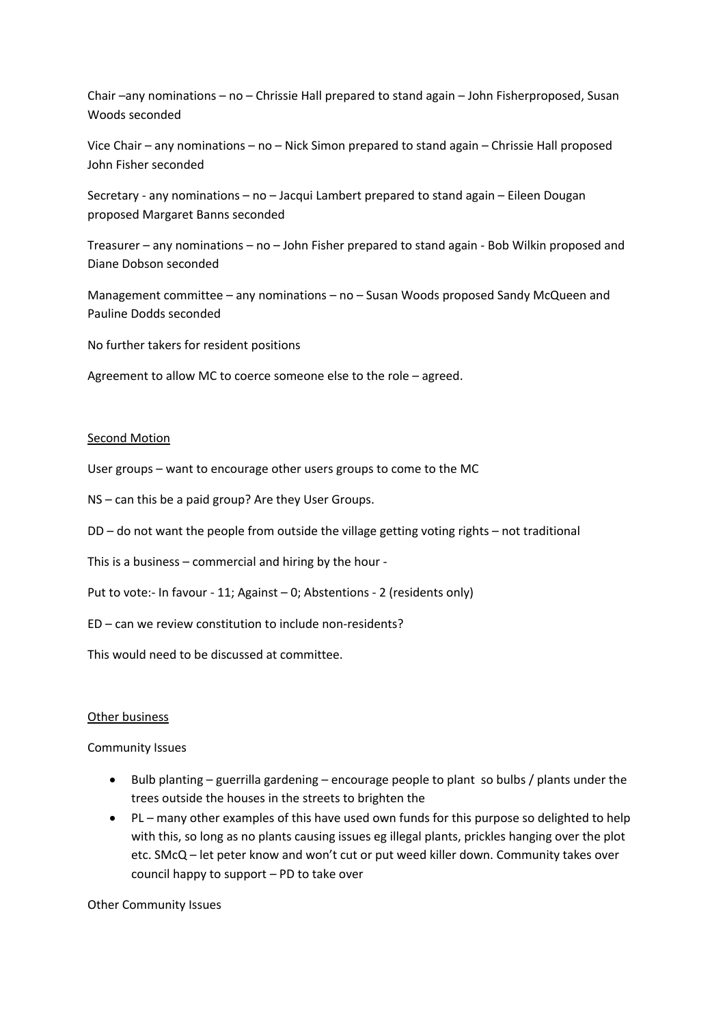Chair –any nominations – no – Chrissie Hall prepared to stand again – John Fisherproposed, Susan Woods seconded

Vice Chair – any nominations – no – Nick Simon prepared to stand again – Chrissie Hall proposed John Fisher seconded

Secretary - any nominations – no – Jacqui Lambert prepared to stand again – Eileen Dougan proposed Margaret Banns seconded

Treasurer – any nominations – no – John Fisher prepared to stand again - Bob Wilkin proposed and Diane Dobson seconded

Management committee – any nominations – no – Susan Woods proposed Sandy McQueen and Pauline Dodds seconded

No further takers for resident positions

Agreement to allow MC to coerce someone else to the role – agreed.

#### Second Motion

User groups – want to encourage other users groups to come to the MC

NS – can this be a paid group? Are they User Groups.

DD – do not want the people from outside the village getting voting rights – not traditional

This is a business – commercial and hiring by the hour -

Put to vote:- In favour - 11; Against – 0; Abstentions - 2 (residents only)

ED – can we review constitution to include non-residents?

This would need to be discussed at committee.

#### Other business

#### Community Issues

- Bulb planting guerrilla gardening encourage people to plant so bulbs / plants under the trees outside the houses in the streets to brighten the
- PL many other examples of this have used own funds for this purpose so delighted to help with this, so long as no plants causing issues eg illegal plants, prickles hanging over the plot etc. SMcQ – let peter know and won't cut or put weed killer down. Community takes over council happy to support – PD to take over

Other Community Issues